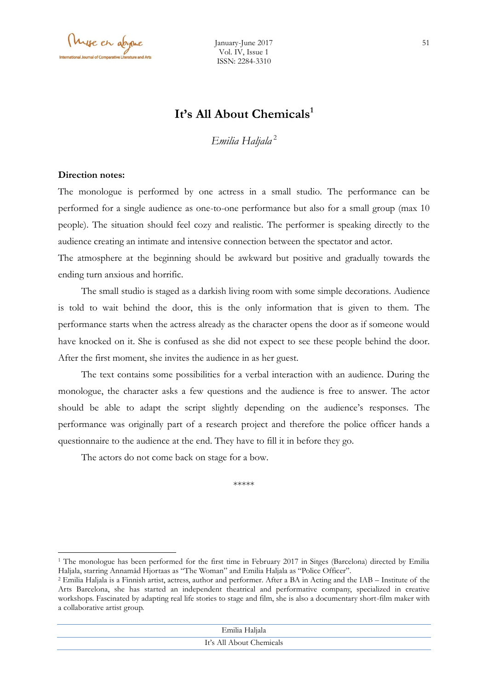Myse en abyme

# **It's All About Chemicals<sup>1</sup>**

*Emilia Haljala* <sup>2</sup>

#### **Direction notes:**

 $\overline{\phantom{a}}$ 

The monologue is performed by one actress in a small studio. The performance can be performed for a single audience as one-to-one performance but also for a small group (max 10 people). The situation should feel cozy and realistic. The performer is speaking directly to the audience creating an intimate and intensive connection between the spectator and actor.

The atmosphere at the beginning should be awkward but positive and gradually towards the ending turn anxious and horrific.

The small studio is staged as a darkish living room with some simple decorations. Audience is told to wait behind the door, this is the only information that is given to them. The performance starts when the actress already as the character opens the door as if someone would have knocked on it. She is confused as she did not expect to see these people behind the door. After the first moment, she invites the audience in as her guest.

The text contains some possibilities for a verbal interaction with an audience. During the monologue, the character asks a few questions and the audience is free to answer. The actor should be able to adapt the script slightly depending on the audience's responses. The performance was originally part of a research project and therefore the police officer hands a questionnaire to the audience at the end. They have to fill it in before they go.

The actors do not come back on stage for a bow.

\*\*\*\*\*

| Emilia Haljala           |  |
|--------------------------|--|
| It's All About Chemicals |  |
|                          |  |

<sup>1</sup> The monologue has been performed for the first time in February 2017 in Sitges (Barcelona) directed by Emilia Haljala, starring Annamåd Hjortaas as "The Woman" and Emilia Haljala as "Police Officer".

<sup>2</sup> Emilia Haljala is a Finnish artist, actress, author and performer. After a BA in Acting and the IAB – Institute of the Arts Barcelona, she has started an independent theatrical and performative company, specialized in creative workshops. Fascinated by adapting real life stories to stage and film, she is also a documentary short-film maker with a collaborative artist group.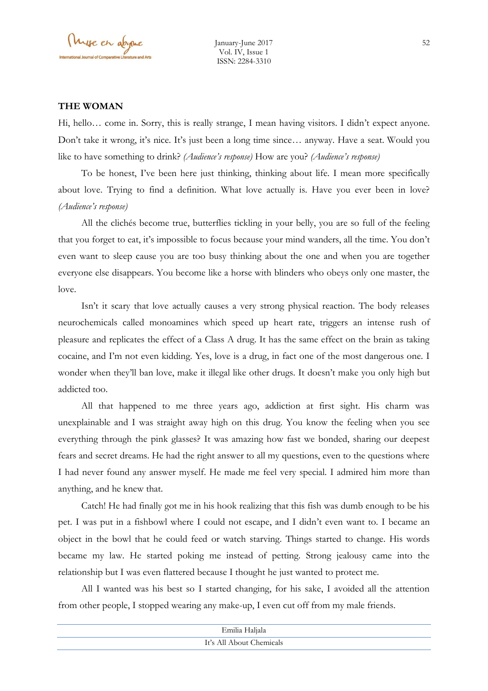#### **THE WOMAN**

Hi, hello… come in. Sorry, this is really strange, I mean having visitors. I didn't expect anyone. Don't take it wrong, it's nice. It's just been a long time since… anyway. Have a seat. Would you like to have something to drink? *(Audience's response)* How are you? *(Audience's response)*

To be honest, I've been here just thinking, thinking about life. I mean more specifically about love. Trying to find a definition. What love actually is. Have you ever been in love? *(Audience's response)*

All the clichés become true, butterflies tickling in your belly, you are so full of the feeling that you forget to eat, it's impossible to focus because your mind wanders, all the time. You don't even want to sleep cause you are too busy thinking about the one and when you are together everyone else disappears. You become like a horse with blinders who obeys only one master, the love.

Isn't it scary that love actually causes a very strong physical reaction. The body releases neurochemicals called monoamines which speed up heart rate, triggers an intense rush of pleasure and replicates the effect of a Class A drug. It has the same effect on the brain as taking cocaine, and I'm not even kidding. Yes, love is a drug, in fact one of the most dangerous one. I wonder when they'll ban love, make it illegal like other drugs. It doesn't make you only high but addicted too.

All that happened to me three years ago, addiction at first sight. His charm was unexplainable and I was straight away high on this drug. You know the feeling when you see everything through the pink glasses? It was amazing how fast we bonded, sharing our deepest fears and secret dreams. He had the right answer to all my questions, even to the questions where I had never found any answer myself. He made me feel very special. I admired him more than anything, and he knew that.

Catch! He had finally got me in his hook realizing that this fish was dumb enough to be his pet. I was put in a fishbowl where I could not escape, and I didn't even want to. I became an object in the bowl that he could feed or watch starving. Things started to change. His words became my law. He started poking me instead of petting. Strong jealousy came into the relationship but I was even flattered because I thought he just wanted to protect me.

All I wanted was his best so I started changing, for his sake, I avoided all the attention from other people, I stopped wearing any make-up, I even cut off from my male friends.

| Emilia Haljala           |  |
|--------------------------|--|
| It's All About Chemicals |  |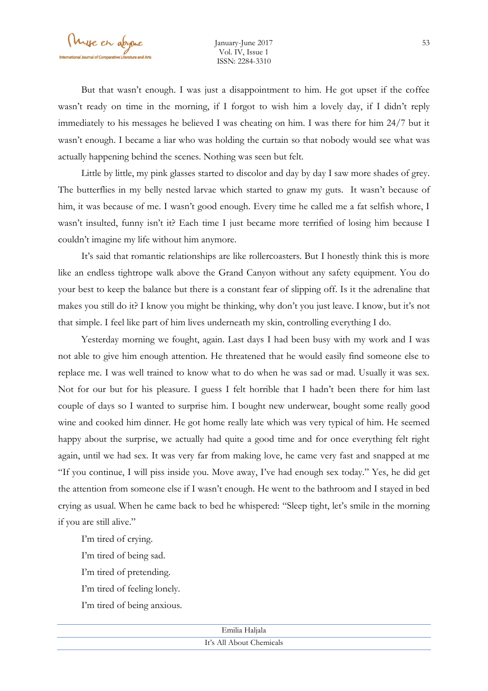But that wasn't enough. I was just a disappointment to him. He got upset if the coffee wasn't ready on time in the morning, if I forgot to wish him a lovely day, if I didn't reply immediately to his messages he believed I was cheating on him. I was there for him 24/7 but it wasn't enough. I became a liar who was holding the curtain so that nobody would see what was actually happening behind the scenes. Nothing was seen but felt.

Little by little, my pink glasses started to discolor and day by day I saw more shades of grey. The butterflies in my belly nested larvae which started to gnaw my guts. It wasn't because of him, it was because of me. I wasn't good enough. Every time he called me a fat selfish whore, I wasn't insulted, funny isn't it? Each time I just became more terrified of losing him because I couldn't imagine my life without him anymore.

It's said that romantic relationships are like rollercoasters. But I honestly think this is more like an endless tightrope walk above the Grand Canyon without any safety equipment. You do your best to keep the balance but there is a constant fear of slipping off. Is it the adrenaline that makes you still do it? I know you might be thinking, why don't you just leave. I know, but it's not that simple. I feel like part of him lives underneath my skin, controlling everything I do.

Yesterday morning we fought, again. Last days I had been busy with my work and I was not able to give him enough attention. He threatened that he would easily find someone else to replace me. I was well trained to know what to do when he was sad or mad. Usually it was sex. Not for our but for his pleasure. I guess I felt horrible that I hadn't been there for him last couple of days so I wanted to surprise him. I bought new underwear, bought some really good wine and cooked him dinner. He got home really late which was very typical of him. He seemed happy about the surprise, we actually had quite a good time and for once everything felt right again, until we had sex. It was very far from making love, he came very fast and snapped at me "If you continue, I will piss inside you. Move away, I've had enough sex today." Yes, he did get the attention from someone else if I wasn't enough. He went to the bathroom and I stayed in bed crying as usual. When he came back to bed he whispered: "Sleep tight, let's smile in the morning if you are still alive."

I'm tired of crying.

I'm tired of being sad.

I'm tired of pretending.

I'm tired of feeling lonely.

I'm tired of being anxious.

| Emilia Haljala           |
|--------------------------|
| It's All About Chemicals |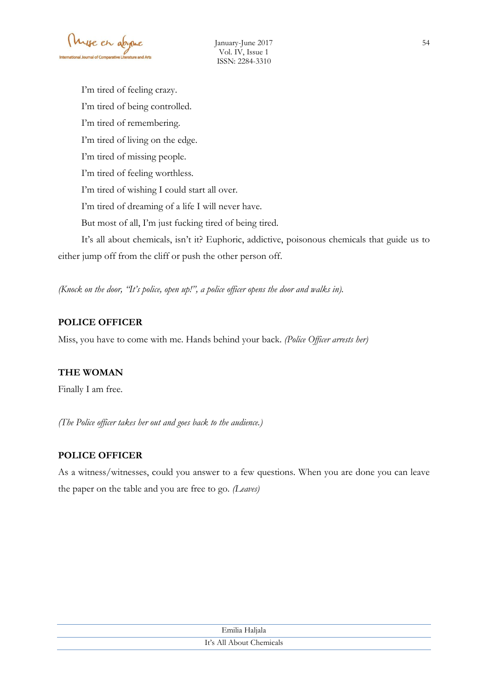I'm tired of feeling crazy. I'm tired of being controlled. I'm tired of remembering. I'm tired of living on the edge. I'm tired of missing people. I'm tired of feeling worthless. I'm tired of wishing I could start all over. I'm tired of dreaming of a life I will never have. But most of all, I'm just fucking tired of being tired. It's all about chemicals, isn't it? Euphoric, addictive, poisonous chemicals that guide us to either jump off from the cliff or push the other person off.

*(Knock on the door, "It's police, open up!", a police officer opens the door and walks in).*

## **POLICE OFFICER**

Miss, you have to come with me. Hands behind your back. *(Police Officer arrests her)*

## **THE WOMAN**

Finally I am free.

*(The Police officer takes her out and goes back to the audience.)*

## **POLICE OFFICER**

As a witness/witnesses, could you answer to a few questions. When you are done you can leave the paper on the table and you are free to go. *(Leaves)*

| Emilia Haljala           |  |
|--------------------------|--|
| It's All About Chemicals |  |